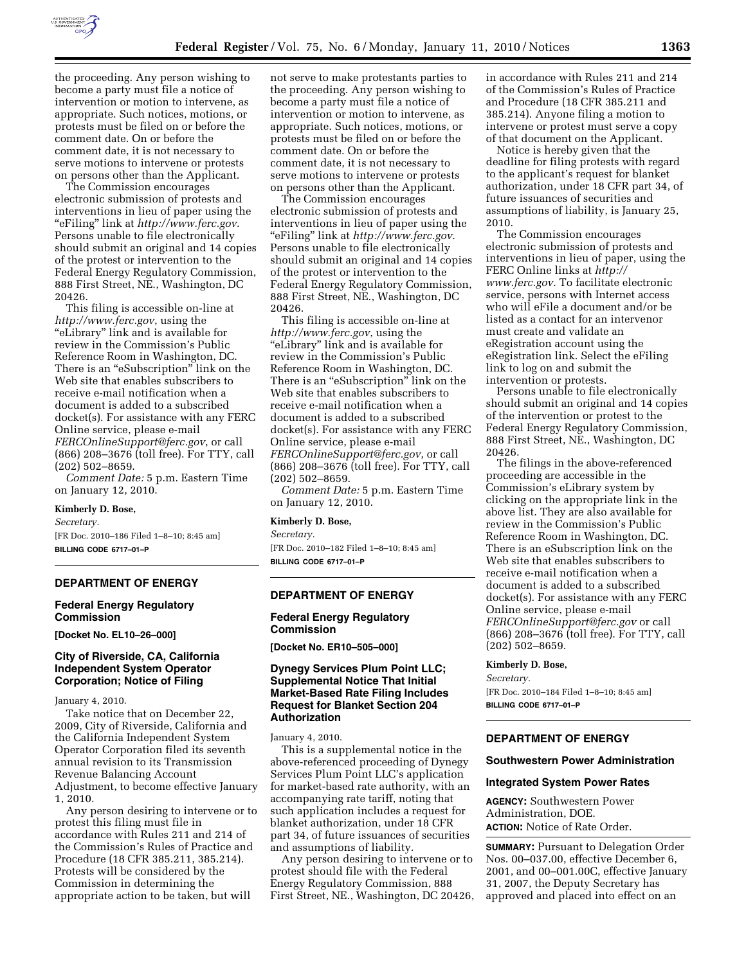

the proceeding. Any person wishing to become a party must file a notice of intervention or motion to intervene, as appropriate. Such notices, motions, or protests must be filed on or before the comment date. On or before the comment date, it is not necessary to serve motions to intervene or protests on persons other than the Applicant.

The Commission encourages electronic submission of protests and interventions in lieu of paper using the ''eFiling'' link at *http://www.ferc.gov*. Persons unable to file electronically should submit an original and 14 copies of the protest or intervention to the Federal Energy Regulatory Commission, 888 First Street, NE., Washington, DC 20426.

This filing is accessible on-line at *http://www.ferc.gov*, using the ''eLibrary'' link and is available for review in the Commission's Public Reference Room in Washington, DC. There is an "eSubscription" link on the Web site that enables subscribers to receive e-mail notification when a document is added to a subscribed docket(s). For assistance with any FERC Online service, please e-mail *FERCOnlineSupport@ferc.gov*, or call (866) 208–3676 (toll free). For TTY, call (202) 502–8659.

*Comment Date:* 5 p.m. Eastern Time on January 12, 2010.

#### **Kimberly D. Bose,**

*Secretary.* 

[FR Doc. 2010–186 Filed 1–8–10; 8:45 am] **BILLING CODE 6717–01–P** 

## **DEPARTMENT OF ENERGY**

## **Federal Energy Regulatory Commission**

**[Docket No. EL10–26–000]** 

## **City of Riverside, CA, California Independent System Operator Corporation; Notice of Filing**

January 4, 2010.

Take notice that on December 22, 2009, City of Riverside, California and the California Independent System Operator Corporation filed its seventh annual revision to its Transmission Revenue Balancing Account Adjustment, to become effective January 1, 2010.

Any person desiring to intervene or to protest this filing must file in accordance with Rules 211 and 214 of the Commission's Rules of Practice and Procedure (18 CFR 385.211, 385.214). Protests will be considered by the Commission in determining the appropriate action to be taken, but will

not serve to make protestants parties to the proceeding. Any person wishing to become a party must file a notice of intervention or motion to intervene, as appropriate. Such notices, motions, or protests must be filed on or before the comment date. On or before the comment date, it is not necessary to serve motions to intervene or protests on persons other than the Applicant.

The Commission encourages electronic submission of protests and interventions in lieu of paper using the ''eFiling'' link at *http://www.ferc.gov*. Persons unable to file electronically should submit an original and 14 copies of the protest or intervention to the Federal Energy Regulatory Commission, 888 First Street, NE., Washington, DC 20426.

This filing is accessible on-line at *http://www.ferc.gov*, using the "eLibrary" link and is available for review in the Commission's Public Reference Room in Washington, DC. There is an "eSubscription" link on the Web site that enables subscribers to receive e-mail notification when a document is added to a subscribed docket(s). For assistance with any FERC Online service, please e-mail *FERCOnlineSupport@ferc.gov*, or call (866) 208–3676 (toll free). For TTY, call (202) 502–8659.

*Comment Date:* 5 p.m. Eastern Time on January 12, 2010.

### **Kimberly D. Bose,**

*Secretary.* 

[FR Doc. 2010–182 Filed 1–8–10; 8:45 am] **BILLING CODE 6717–01–P** 

### **DEPARTMENT OF ENERGY**

## **Federal Energy Regulatory Commission**

**[Docket No. ER10–505–000]** 

## **Dynegy Services Plum Point LLC; Supplemental Notice That Initial Market-Based Rate Filing Includes Request for Blanket Section 204 Authorization**

January 4, 2010.

This is a supplemental notice in the above-referenced proceeding of Dynegy Services Plum Point LLC's application for market-based rate authority, with an accompanying rate tariff, noting that such application includes a request for blanket authorization, under 18 CFR part 34, of future issuances of securities and assumptions of liability.

Any person desiring to intervene or to protest should file with the Federal Energy Regulatory Commission, 888 First Street, NE., Washington, DC 20426, in accordance with Rules 211 and 214 of the Commission's Rules of Practice and Procedure (18 CFR 385.211 and 385.214). Anyone filing a motion to intervene or protest must serve a copy of that document on the Applicant.

Notice is hereby given that the deadline for filing protests with regard to the applicant's request for blanket authorization, under 18 CFR part 34, of future issuances of securities and assumptions of liability, is January 25, 2010.

The Commission encourages electronic submission of protests and interventions in lieu of paper, using the FERC Online links at *http:// www.ferc.gov.* To facilitate electronic service, persons with Internet access who will eFile a document and/or be listed as a contact for an intervenor must create and validate an eRegistration account using the eRegistration link. Select the eFiling link to log on and submit the intervention or protests.

Persons unable to file electronically should submit an original and 14 copies of the intervention or protest to the Federal Energy Regulatory Commission, 888 First Street, NE., Washington, DC 20426.

The filings in the above-referenced proceeding are accessible in the Commission's eLibrary system by clicking on the appropriate link in the above list. They are also available for review in the Commission's Public Reference Room in Washington, DC. There is an eSubscription link on the Web site that enables subscribers to receive e-mail notification when a document is added to a subscribed docket(s). For assistance with any FERC Online service, please e-mail *FERCOnlineSupport@ferc.gov* or call (866) 208–3676 (toll free). For TTY, call (202) 502–8659.

## **Kimberly D. Bose,**

*Secretary.*  [FR Doc. 2010–184 Filed 1–8–10; 8:45 am]

**BILLING CODE 6717–01–P** 

## **DEPARTMENT OF ENERGY**

### **Southwestern Power Administration**

### **Integrated System Power Rates**

**AGENCY:** Southwestern Power Administration, DOE. **ACTION:** Notice of Rate Order.

**SUMMARY:** Pursuant to Delegation Order Nos. 00–037.00, effective December 6, 2001, and 00–001.00C, effective January 31, 2007, the Deputy Secretary has approved and placed into effect on an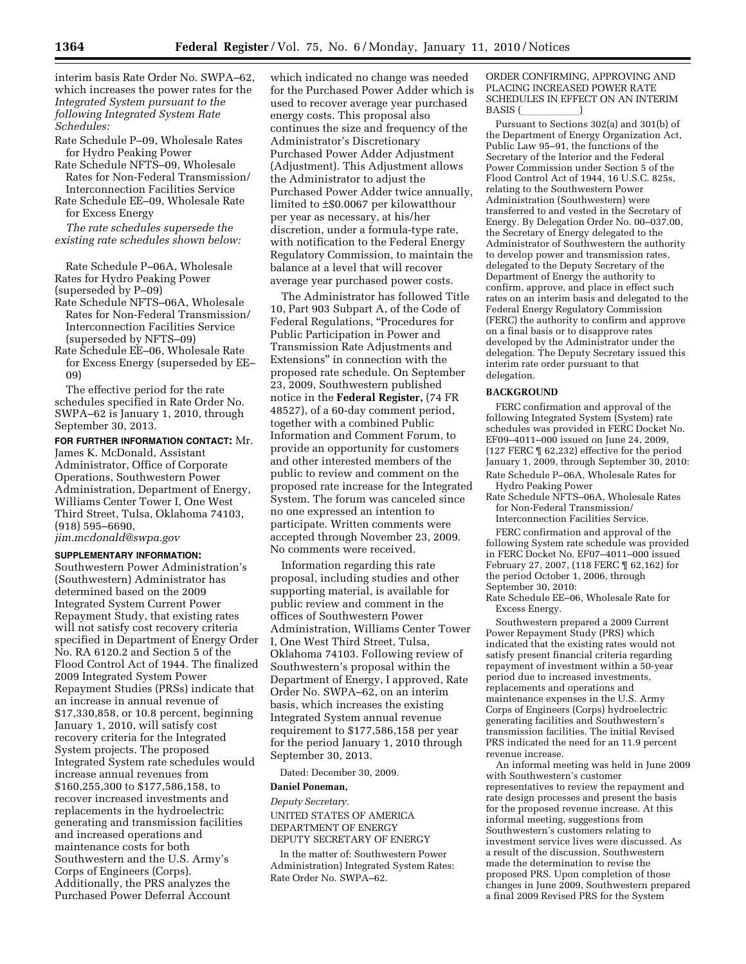interim basis Rate Order No. SWPA–62, which increases the power rates for the *Integrated System pursuant to the following Integrated System Rate Schedules:* 

- Rate Schedule P–09, Wholesale Rates for Hydro Peaking Power
- Rate Schedule NFTS–09, Wholesale Rates for Non-Federal Transmission/ Interconnection Facilities Service
- Rate Schedule EE–09, Wholesale Rate for Excess Energy

*The rate schedules supersede the existing rate schedules shown below:* 

Rate Schedule P–06A, Wholesale Rates for Hydro Peaking Power (superseded by P–09)

Rate Schedule NFTS–06A, Wholesale Rates for Non-Federal Transmission/ Interconnection Facilities Service (superseded by NFTS–09)

Rate Schedule EE–06, Wholesale Rate for Excess Energy (superseded by EE– 09)

The effective period for the rate schedules specified in Rate Order No. SWPA–62 is January 1, 2010, through September 30, 2013.

# **FOR FURTHER INFORMATION CONTACT:** Mr. James K. McDonald, Assistant Administrator, Office of Corporate Operations, Southwestern Power Administration, Department of Energy, Williams Center Tower I, One West Third Street, Tulsa, Oklahoma 74103, (918) 595–6690,

*jim.mcdonald@swpa.gov* 

# **SUPPLEMENTARY INFORMATION:**

Southwestern Power Administration's (Southwestern) Administrator has determined based on the 2009 Integrated System Current Power Repayment Study, that existing rates will not satisfy cost recovery criteria specified in Department of Energy Order No. RA 6120.2 and Section 5 of the Flood Control Act of 1944. The finalized 2009 Integrated System Power Repayment Studies (PRSs) indicate that an increase in annual revenue of \$17,330,858, or 10.8 percent, beginning January 1, 2010, will satisfy cost recovery criteria for the Integrated System projects. The proposed Integrated System rate schedules would increase annual revenues from \$160,255,300 to \$177,586,158, to recover increased investments and replacements in the hydroelectric generating and transmission facilities and increased operations and maintenance costs for both Southwestern and the U.S. Army's Corps of Engineers (Corps). Additionally, the PRS analyzes the Purchased Power Deferral Account

which indicated no change was needed for the Purchased Power Adder which is used to recover average year purchased energy costs. This proposal also continues the size and frequency of the Administrator's Discretionary Purchased Power Adder Adjustment (Adjustment). This Adjustment allows the Administrator to adjust the Purchased Power Adder twice annually, limited to ±\$0.0067 per kilowatthour per year as necessary, at his/her discretion, under a formula-type rate, with notification to the Federal Energy Regulatory Commission, to maintain the balance at a level that will recover average year purchased power costs.

The Administrator has followed Title 10, Part 903 Subpart A, of the Code of Federal Regulations, "Procedures for Public Participation in Power and Transmission Rate Adjustments and Extensions'' in connection with the proposed rate schedule. On September 23, 2009, Southwestern published notice in the **Federal Register,** (74 FR 48527), of a 60-day comment period, together with a combined Public Information and Comment Forum, to provide an opportunity for customers and other interested members of the public to review and comment on the proposed rate increase for the Integrated System. The forum was canceled since no one expressed an intention to participate. Written comments were accepted through November 23, 2009. No comments were received.

Information regarding this rate proposal, including studies and other supporting material, is available for public review and comment in the offices of Southwestern Power Administration, Williams Center Tower I, One West Third Street, Tulsa, Oklahoma 74103. Following review of Southwestern's proposal within the Department of Energy, I approved, Rate Order No. SWPA–62, on an interim basis, which increases the existing Integrated System annual revenue requirement to \$177,586,158 per year for the period January 1, 2010 through September 30, 2013.

Dated: December 30, 2009.

#### **Daniel Poneman,**

*Deputy Secretary.*  UNITED STATES OF AMERICA DEPARTMENT OF ENERGY DEPUTY SECRETARY OF ENERGY

In the matter of: Southwestern Power Administration) Integrated System Rates: Rate Order No. SWPA–62.

ORDER CONFIRMING, APPROVING AND PLACING INCREASED POWER RATE SCHEDULES IN EFFECT ON AN INTERIM BASIS (Superior Section 1)

Pursuant to Sections 302(a) and 301(b) of the Department of Energy Organization Act, Public Law 95–91, the functions of the Secretary of the Interior and the Federal Power Commission under Section 5 of the Flood Control Act of 1944, 16 U.S.C. 825s, relating to the Southwestern Power Administration (Southwestern) were transferred to and vested in the Secretary of Energy. By Delegation Order No. 00–037.00, the Secretary of Energy delegated to the Administrator of Southwestern the authority to develop power and transmission rates, delegated to the Deputy Secretary of the Department of Energy the authority to confirm, approve, and place in effect such rates on an interim basis and delegated to the Federal Energy Regulatory Commission (FERC) the authority to confirm and approve on a final basis or to disapprove rates developed by the Administrator under the delegation. The Deputy Secretary issued this interim rate order pursuant to that delegation.

#### **BACKGROUND**

FERC confirmation and approval of the following Integrated System (System) rate schedules was provided in FERC Docket No. EF09–4011–000 issued on June 24, 2009, (127 FERC ¶ 62,232) effective for the period January 1, 2009, through September 30, 2010: Rate Schedule P–06A, Wholesale Rates for

Hydro Peaking Power

Rate Schedule NFTS–06A, Wholesale Rates for Non-Federal Transmission/ Interconnection Facilities Service.

FERC confirmation and approval of the following System rate schedule was provided in FERC Docket No. EF07–4011–000 issued February 27, 2007, (118 FERC ¶ 62,162) for the period October 1, 2006, through September 30, 2010:

Rate Schedule EE–06, Wholesale Rate for Excess Energy.

Southwestern prepared a 2009 Current Power Repayment Study (PRS) which indicated that the existing rates would not satisfy present financial criteria regarding repayment of investment within a 50-year period due to increased investments, replacements and operations and maintenance expenses in the U.S. Army Corps of Engineers (Corps) hydroelectric generating facilities and Southwestern's transmission facilities. The initial Revised PRS indicated the need for an 11.9 percent revenue increase.

An informal meeting was held in June 2009 with Southwestern's customer representatives to review the repayment and rate design processes and present the basis for the proposed revenue increase. At this informal meeting, suggestions from Southwestern's customers relating to investment service lives were discussed. As a result of the discussion, Southwestern made the determination to revise the proposed PRS. Upon completion of those changes in June 2009, Southwestern prepared a final 2009 Revised PRS for the System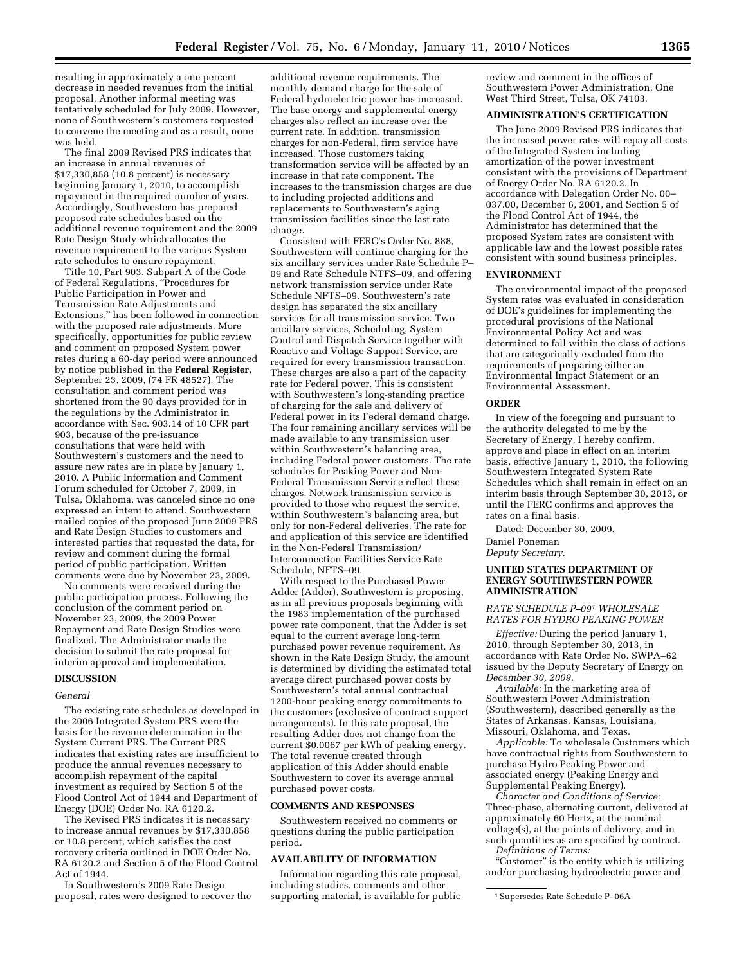resulting in approximately a one percent decrease in needed revenues from the initial proposal. Another informal meeting was tentatively scheduled for July 2009. However, none of Southwestern's customers requested to convene the meeting and as a result, none was held.

The final 2009 Revised PRS indicates that an increase in annual revenues of \$17,330,858 (10.8 percent) is necessary beginning January 1, 2010, to accomplish repayment in the required number of years. Accordingly, Southwestern has prepared proposed rate schedules based on the additional revenue requirement and the 2009 Rate Design Study which allocates the revenue requirement to the various System rate schedules to ensure repayment.

Title 10, Part 903, Subpart A of the Code of Federal Regulations, ''Procedures for Public Participation in Power and Transmission Rate Adjustments and Extensions,'' has been followed in connection with the proposed rate adjustments. More specifically, opportunities for public review and comment on proposed System power rates during a 60-day period were announced by notice published in the **Federal Register**, September 23, 2009, (74 FR 48527). The consultation and comment period was shortened from the 90 days provided for in the regulations by the Administrator in accordance with Sec. 903.14 of 10 CFR part 903, because of the pre-issuance consultations that were held with Southwestern's customers and the need to assure new rates are in place by January 1, 2010. A Public Information and Comment Forum scheduled for October 7, 2009, in Tulsa, Oklahoma, was canceled since no one expressed an intent to attend. Southwestern mailed copies of the proposed June 2009 PRS and Rate Design Studies to customers and interested parties that requested the data, for review and comment during the formal period of public participation. Written comments were due by November 23, 2009.

No comments were received during the public participation process. Following the conclusion of the comment period on November 23, 2009, the 2009 Power Repayment and Rate Design Studies were finalized. The Administrator made the decision to submit the rate proposal for interim approval and implementation.

### **DISCUSSION**

### *General*

The existing rate schedules as developed in the 2006 Integrated System PRS were the basis for the revenue determination in the System Current PRS. The Current PRS indicates that existing rates are insufficient to produce the annual revenues necessary to accomplish repayment of the capital investment as required by Section 5 of the Flood Control Act of 1944 and Department of Energy (DOE) Order No. RA 6120.2.

The Revised PRS indicates it is necessary to increase annual revenues by \$17,330,858 or 10.8 percent, which satisfies the cost recovery criteria outlined in DOE Order No. RA 6120.2 and Section 5 of the Flood Control Act of 1944.

In Southwestern's 2009 Rate Design proposal, rates were designed to recover the

additional revenue requirements. The monthly demand charge for the sale of Federal hydroelectric power has increased. The base energy and supplemental energy charges also reflect an increase over the current rate. In addition, transmission charges for non-Federal, firm service have increased. Those customers taking transformation service will be affected by an increase in that rate component. The increases to the transmission charges are due to including projected additions and replacements to Southwestern's aging transmission facilities since the last rate change.

Consistent with FERC's Order No. 888, Southwestern will continue charging for the six ancillary services under Rate Schedule P– 09 and Rate Schedule NTFS–09, and offering network transmission service under Rate Schedule NFTS–09. Southwestern's rate design has separated the six ancillary services for all transmission service. Two ancillary services, Scheduling, System Control and Dispatch Service together with Reactive and Voltage Support Service, are required for every transmission transaction. These charges are also a part of the capacity rate for Federal power. This is consistent with Southwestern's long-standing practice of charging for the sale and delivery of Federal power in its Federal demand charge. The four remaining ancillary services will be made available to any transmission user within Southwestern's balancing area, including Federal power customers. The rate schedules for Peaking Power and Non-Federal Transmission Service reflect these charges. Network transmission service is provided to those who request the service, within Southwestern's balancing area, but only for non-Federal deliveries. The rate for and application of this service are identified in the Non-Federal Transmission/ Interconnection Facilities Service Rate Schedule, NFTS–09.

With respect to the Purchased Power Adder (Adder), Southwestern is proposing, as in all previous proposals beginning with the 1983 implementation of the purchased power rate component, that the Adder is set equal to the current average long-term purchased power revenue requirement. As shown in the Rate Design Study, the amount is determined by dividing the estimated total average direct purchased power costs by Southwestern's total annual contractual 1200-hour peaking energy commitments to the customers (exclusive of contract support arrangements). In this rate proposal, the resulting Adder does not change from the current \$0.0067 per kWh of peaking energy. The total revenue created through application of this Adder should enable Southwestern to cover its average annual purchased power costs.

#### **COMMENTS AND RESPONSES**

Southwestern received no comments or questions during the public participation period.

### **AVAILABILITY OF INFORMATION**

Information regarding this rate proposal, including studies, comments and other supporting material, is available for public

review and comment in the offices of Southwestern Power Administration, One West Third Street, Tulsa, OK 74103.

### **ADMINISTRATION'S CERTIFICATION**

The June 2009 Revised PRS indicates that the increased power rates will repay all costs of the Integrated System including amortization of the power investment consistent with the provisions of Department of Energy Order No. RA 6120.2. In accordance with Delegation Order No. 00– 037.00, December 6, 2001, and Section 5 of the Flood Control Act of 1944, the Administrator has determined that the proposed System rates are consistent with applicable law and the lowest possible rates consistent with sound business principles.

#### **ENVIRONMENT**

The environmental impact of the proposed System rates was evaluated in consideration of DOE's guidelines for implementing the procedural provisions of the National Environmental Policy Act and was determined to fall within the class of actions that are categorically excluded from the requirements of preparing either an Environmental Impact Statement or an Environmental Assessment.

#### **ORDER**

In view of the foregoing and pursuant to the authority delegated to me by the Secretary of Energy, I hereby confirm, approve and place in effect on an interim basis, effective January 1, 2010, the following Southwestern Integrated System Rate Schedules which shall remain in effect on an interim basis through September 30, 2013, or until the FERC confirms and approves the rates on a final basis.

Dated: December 30, 2009.

Daniel Poneman *Deputy Secretary*.

### **UNITED STATES DEPARTMENT OF ENERGY SOUTHWESTERN POWER ADMINISTRATION**

## *RATE SCHEDULE P–091 WHOLESALE RATES FOR HYDRO PEAKING POWER*

*Effective:* During the period January 1, 2010, through September 30, 2013, in accordance with Rate Order No. SWPA–62 issued by the Deputy Secretary of Energy on *December 30, 2009.* 

*Available:* In the marketing area of Southwestern Power Administration (Southwestern), described generally as the States of Arkansas, Kansas, Louisiana, Missouri, Oklahoma, and Texas.

*Applicable:* To wholesale Customers which have contractual rights from Southwestern to purchase Hydro Peaking Power and associated energy (Peaking Energy and Supplemental Peaking Energy).

*Character and Conditions of Service:*  Three-phase, alternating current, delivered at approximately 60 Hertz, at the nominal voltage(s), at the points of delivery, and in such quantities as are specified by contract. *Definitions of Terms:* 

"Customer" is the entity which is utilizing and/or purchasing hydroelectric power and

<sup>1</sup>Supersedes Rate Schedule P–06A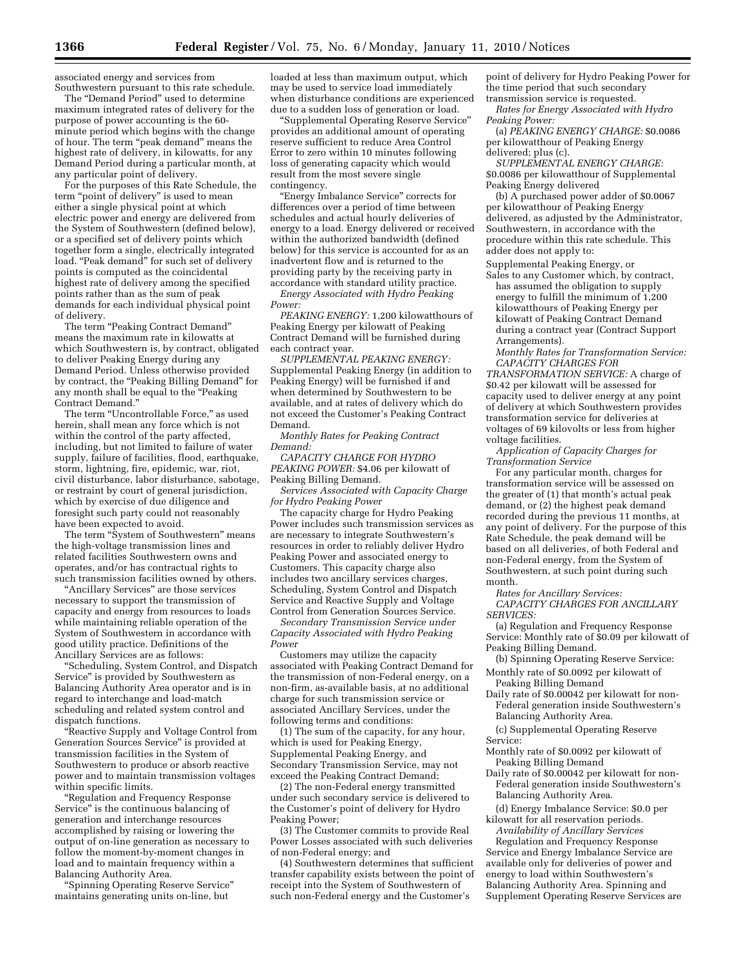associated energy and services from Southwestern pursuant to this rate schedule.

The "Demand Period" used to determine maximum integrated rates of delivery for the purpose of power accounting is the 60 minute period which begins with the change of hour. The term "peak demand" means the highest rate of delivery, in kilowatts, for any Demand Period during a particular month, at any particular point of delivery.

For the purposes of this Rate Schedule, the term "point of delivery" is used to mean either a single physical point at which electric power and energy are delivered from the System of Southwestern (defined below), or a specified set of delivery points which together form a single, electrically integrated load. "Peak demand" for such set of delivery points is computed as the coincidental highest rate of delivery among the specified points rather than as the sum of peak demands for each individual physical point of delivery.

The term "Peaking Contract Demand" means the maximum rate in kilowatts at which Southwestern is, by contract, obligated to deliver Peaking Energy during any Demand Period. Unless otherwise provided by contract, the "Peaking Billing Demand" for any month shall be equal to the ''Peaking Contract Demand.''

The term "Uncontrollable Force," as used herein, shall mean any force which is not within the control of the party affected, including, but not limited to failure of water supply, failure of facilities, flood, earthquake, storm, lightning, fire, epidemic, war, riot, civil disturbance, labor disturbance, sabotage, or restraint by court of general jurisdiction, which by exercise of due diligence and foresight such party could not reasonably have been expected to avoid.

The term "System of Southwestern" means the high-voltage transmission lines and related facilities Southwestern owns and operates, and/or has contractual rights to such transmission facilities owned by others.

''Ancillary Services'' are those services necessary to support the transmission of capacity and energy from resources to loads while maintaining reliable operation of the System of Southwestern in accordance with good utility practice. Definitions of the Ancillary Services are as follows:

''Scheduling, System Control, and Dispatch Service'' is provided by Southwestern as Balancing Authority Area operator and is in regard to interchange and load-match scheduling and related system control and dispatch functions.

''Reactive Supply and Voltage Control from Generation Sources Service'' is provided at transmission facilities in the System of Southwestern to produce or absorb reactive power and to maintain transmission voltages within specific limits.

''Regulation and Frequency Response Service'' is the continuous balancing of generation and interchange resources accomplished by raising or lowering the output of on-line generation as necessary to follow the moment-by-moment changes in load and to maintain frequency within a Balancing Authority Area.

''Spinning Operating Reserve Service'' maintains generating units on-line, but

loaded at less than maximum output, which may be used to service load immediately when disturbance conditions are experienced due to a sudden loss of generation or load.

''Supplemental Operating Reserve Service'' provides an additional amount of operating reserve sufficient to reduce Area Control Error to zero within 10 minutes following loss of generating capacity which would result from the most severe single contingency.

''Energy Imbalance Service'' corrects for differences over a period of time between schedules and actual hourly deliveries of energy to a load. Energy delivered or received within the authorized bandwidth (defined below) for this service is accounted for as an inadvertent flow and is returned to the providing party by the receiving party in accordance with standard utility practice.

*Energy Associated with Hydro Peaking Power:* 

*PEAKING ENERGY:* 1,200 kilowatthours of Peaking Energy per kilowatt of Peaking Contract Demand will be furnished during each contract year.

*SUPPLEMENTAL PEAKING ENERGY:*  Supplemental Peaking Energy (in addition to Peaking Energy) will be furnished if and when determined by Southwestern to be available, and at rates of delivery which do not exceed the Customer's Peaking Contract Demand.

*Monthly Rates for Peaking Contract Demand:* 

*CAPACITY CHARGE FOR HYDRO PEAKING POWER:* \$4.06 per kilowatt of Peaking Billing Demand.

*Services Associated with Capacity Charge for Hydro Peaking Power* 

The capacity charge for Hydro Peaking Power includes such transmission services as are necessary to integrate Southwestern's resources in order to reliably deliver Hydro Peaking Power and associated energy to Customers. This capacity charge also includes two ancillary services charges, Scheduling, System Control and Dispatch Service and Reactive Supply and Voltage Control from Generation Sources Service.

*Secondary Transmission Service under Capacity Associated with Hydro Peaking Power* 

Customers may utilize the capacity associated with Peaking Contract Demand for the transmission of non-Federal energy, on a non-firm, as-available basis, at no additional charge for such transmission service or associated Ancillary Services, under the following terms and conditions:

(1) The sum of the capacity, for any hour, which is used for Peaking Energy, Supplemental Peaking Energy, and Secondary Transmission Service, may not exceed the Peaking Contract Demand;

(2) The non-Federal energy transmitted under such secondary service is delivered to the Customer's point of delivery for Hydro Peaking Power;

(3) The Customer commits to provide Real Power Losses associated with such deliveries of non-Federal energy; and

(4) Southwestern determines that sufficient transfer capability exists between the point of receipt into the System of Southwestern of such non-Federal energy and the Customer's

point of delivery for Hydro Peaking Power for the time period that such secondary transmission service is requested.

*Rates for Energy Associated with Hydro Peaking Power:* 

(a) *PEAKING ENERGY CHARGE:* \$0.0086 per kilowatthour of Peaking Energy delivered; plus (c).

*SUPPLEMENTAL ENERGY CHARGE:*  \$0.0086 per kilowatthour of Supplemental Peaking Energy delivered

(b) A purchased power adder of \$0.0067 per kilowatthour of Peaking Energy delivered, as adjusted by the Administrator, Southwestern, in accordance with the procedure within this rate schedule. This adder does not apply to:

Supplemental Peaking Energy, or Sales to any Customer which, by contract, has assumed the obligation to supply energy to fulfill the minimum of 1,200 kilowatthours of Peaking Energy per kilowatt of Peaking Contract Demand during a contract year (Contract Support Arrangements).

*Monthly Rates for Transformation Service: CAPACITY CHARGES FOR* 

*TRANSFORMATION SERVICE:* A charge of \$0.42 per kilowatt will be assessed for capacity used to deliver energy at any point of delivery at which Southwestern provides transformation service for deliveries at voltages of 69 kilovolts or less from higher voltage facilities.

*Application of Capacity Charges for Transformation Service* 

For any particular month, charges for transformation service will be assessed on the greater of (1) that month's actual peak demand, or (2) the highest peak demand recorded during the previous 11 months, at any point of delivery. For the purpose of this Rate Schedule, the peak demand will be based on all deliveries, of both Federal and non-Federal energy, from the System of Southwestern, at such point during such month.

*Rates for Ancillary Services: CAPACITY CHARGES FOR ANCILLARY SERVICES:* 

(a) Regulation and Frequency Response Service: Monthly rate of \$0.09 per kilowatt of Peaking Billing Demand.

(b) Spinning Operating Reserve Service: Monthly rate of \$0.0092 per kilowatt of

Peaking Billing Demand

Daily rate of \$0.00042 per kilowatt for non-Federal generation inside Southwestern's Balancing Authority Area.

(c) Supplemental Operating Reserve Service:

- Monthly rate of \$0.0092 per kilowatt of Peaking Billing Demand
- Daily rate of \$0.00042 per kilowatt for non-Federal generation inside Southwestern's Balancing Authority Area.
- (d) Energy Imbalance Service: \$0.0 per kilowatt for all reservation periods. *Availability of Ancillary Services*

Regulation and Frequency Response Service and Energy Imbalance Service are available only for deliveries of power and energy to load within Southwestern's Balancing Authority Area. Spinning and Supplement Operating Reserve Services are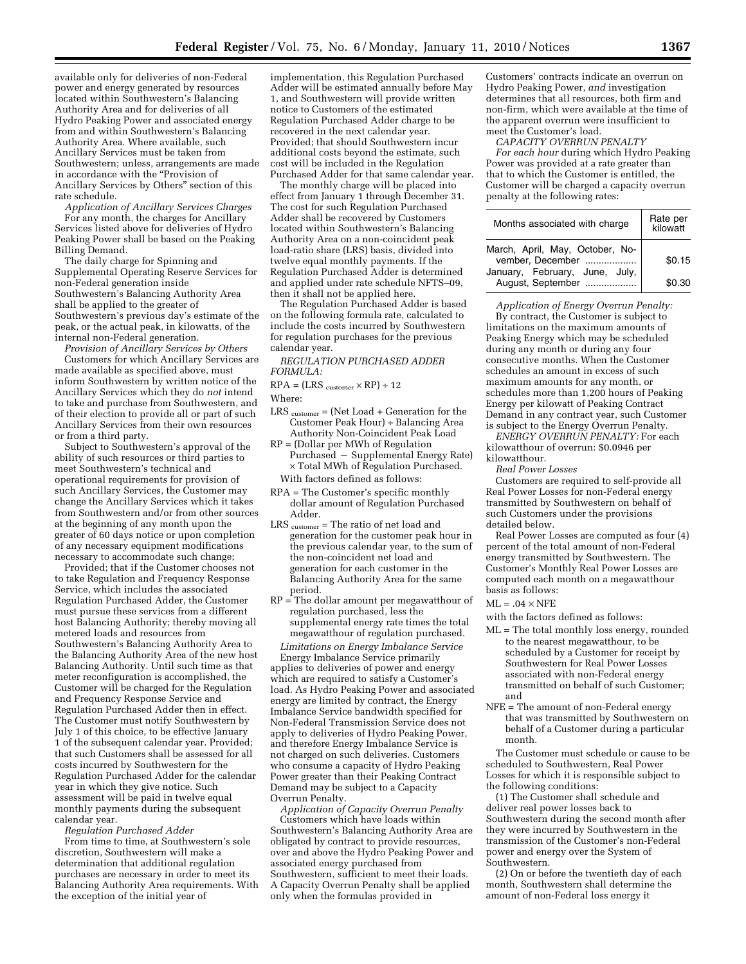available only for deliveries of non-Federal power and energy generated by resources located within Southwestern's Balancing Authority Area and for deliveries of all Hydro Peaking Power and associated energy from and within Southwestern's Balancing Authority Area. Where available, such Ancillary Services must be taken from Southwestern; unless, arrangements are made in accordance with the "Provision of Ancillary Services by Others'' section of this rate schedule.

*Application of Ancillary Services Charges*  For any month, the charges for Ancillary Services listed above for deliveries of Hydro Peaking Power shall be based on the Peaking Billing Demand.

The daily charge for Spinning and Supplemental Operating Reserve Services for non-Federal generation inside Southwestern's Balancing Authority Area shall be applied to the greater of Southwestern's previous day's estimate of the peak, or the actual peak, in kilowatts, of the internal non-Federal generation.

*Provision of Ancillary Services by Others*  Customers for which Ancillary Services are made available as specified above, must inform Southwestern by written notice of the Ancillary Services which they do *not* intend to take and purchase from Southwestern, and of their election to provide all or part of such Ancillary Services from their own resources or from a third party.

Subject to Southwestern's approval of the ability of such resources or third parties to meet Southwestern's technical and operational requirements for provision of such Ancillary Services, the Customer may change the Ancillary Services which it takes from Southwestern and/or from other sources at the beginning of any month upon the greater of 60 days notice or upon completion of any necessary equipment modifications necessary to accommodate such change;

Provided; that if the Customer chooses not to take Regulation and Frequency Response Service, which includes the associated Regulation Purchased Adder, the Customer must pursue these services from a different host Balancing Authority; thereby moving all metered loads and resources from Southwestern's Balancing Authority Area to the Balancing Authority Area of the new host Balancing Authority. Until such time as that meter reconfiguration is accomplished, the Customer will be charged for the Regulation and Frequency Response Service and Regulation Purchased Adder then in effect. The Customer must notify Southwestern by July 1 of this choice, to be effective January 1 of the subsequent calendar year. Provided; that such Customers shall be assessed for all costs incurred by Southwestern for the Regulation Purchased Adder for the calendar year in which they give notice. Such assessment will be paid in twelve equal monthly payments during the subsequent calendar year.

*Regulation Purchased Adder* 

From time to time, at Southwestern's sole discretion, Southwestern will make a determination that additional regulation purchases are necessary in order to meet its Balancing Authority Area requirements. With the exception of the initial year of

implementation, this Regulation Purchased Adder will be estimated annually before May 1, and Southwestern will provide written notice to Customers of the estimated Regulation Purchased Adder charge to be recovered in the next calendar year. Provided; that should Southwestern incur additional costs beyond the estimate, such cost will be included in the Regulation Purchased Adder for that same calendar year.

The monthly charge will be placed into effect from January 1 through December 31. The cost for such Regulation Purchased Adder shall be recovered by Customers located within Southwestern's Balancing Authority Area on a non-coincident peak load-ratio share (LRS) basis, divided into twelve equal monthly payments. If the Regulation Purchased Adder is determined and applied under rate schedule NFTS–09, then it shall not be applied here.

The Regulation Purchased Adder is based on the following formula rate, calculated to include the costs incurred by Southwestern for regulation purchases for the previous calendar year.

*REGULATION PURCHASED ADDER FORMULA:* 

 $RPA = (LRS_{\text{ customer}} \times RP) \div 12$ 

Where:

- LRS customer = (Net Load + Generation for the Customer Peak Hour) ÷ Balancing Area Authority Non-Coincident Peak Load
- RP = (Dollar per MWh of Regulation Purchased - Supplemental Energy Rate) × Total MWh of Regulation Purchased.

With factors defined as follows:

- RPA = The Customer's specific monthly dollar amount of Regulation Purchased Adder.
- LRS customer = The ratio of net load and generation for the customer peak hour in the previous calendar year, to the sum of the non-coincident net load and generation for each customer in the Balancing Authority Area for the same period.
- $RP = The dollar amount per megawatthour of$ regulation purchased, less the supplemental energy rate times the total megawatthour of regulation purchased.

*Limitations on Energy Imbalance Service*  Energy Imbalance Service primarily applies to deliveries of power and energy which are required to satisfy a Customer's load. As Hydro Peaking Power and associated energy are limited by contract, the Energy Imbalance Service bandwidth specified for Non-Federal Transmission Service does not apply to deliveries of Hydro Peaking Power, and therefore Energy Imbalance Service is not charged on such deliveries. Customers who consume a capacity of Hydro Peaking Power greater than their Peaking Contract Demand may be subject to a Capacity Overrun Penalty.

*Application of Capacity Overrun Penalty*  Customers which have loads within Southwestern's Balancing Authority Area are obligated by contract to provide resources, over and above the Hydro Peaking Power and associated energy purchased from Southwestern, sufficient to meet their loads. A Capacity Overrun Penalty shall be applied only when the formulas provided in

Customers' contracts indicate an overrun on Hydro Peaking Power, *and* investigation determines that all resources, both firm and non-firm, which were available at the time of the apparent overrun were insufficient to meet the Customer's load.

*CAPACITY OVERRUN PENALTY For each hour* during which Hydro Peaking Power was provided at a rate greater than that to which the Customer is entitled, the Customer will be charged a capacity overrun penalty at the following rates:

| Months associated with charge                       | Rate per<br>kilowatt |
|-----------------------------------------------------|----------------------|
| March, April, May, October, No-<br>vember, December | \$0.15               |
| January, February, June, July,<br>August, September | \$0.30               |

*Application of Energy Overrun Penalty:*  By contract, the Customer is subject to limitations on the maximum amounts of Peaking Energy which may be scheduled during any month or during any four consecutive months. When the Customer schedules an amount in excess of such maximum amounts for any month, or schedules more than 1,200 hours of Peaking Energy per kilowatt of Peaking Contract Demand in any contract year, such Customer is subject to the Energy Overrun Penalty.

*ENERGY OVERRUN PENALTY:* For each kilowatthour of overrun: \$0.0946 per kilowatthour.

*Real Power Losses* 

Customers are required to self-provide all Real Power Losses for non-Federal energy transmitted by Southwestern on behalf of such Customers under the provisions detailed below.

Real Power Losses are computed as four (4) percent of the total amount of non-Federal energy transmitted by Southwestern. The Customer's Monthly Real Power Losses are computed each month on a megawatthour basis as follows:

 $ML = .04 \times NFE$ 

with the factors defined as follows:

- ML = The total monthly loss energy, rounded to the nearest megawatthour, to be scheduled by a Customer for receipt by Southwestern for Real Power Losses associated with non-Federal energy transmitted on behalf of such Customer; and
- NFE = The amount of non-Federal energy that was transmitted by Southwestern on behalf of a Customer during a particular month.

The Customer must schedule or cause to be scheduled to Southwestern, Real Power Losses for which it is responsible subject to the following conditions:

(1) The Customer shall schedule and deliver real power losses back to Southwestern during the second month after they were incurred by Southwestern in the transmission of the Customer's non-Federal power and energy over the System of Southwestern.

(2) On or before the twentieth day of each month, Southwestern shall determine the amount of non-Federal loss energy it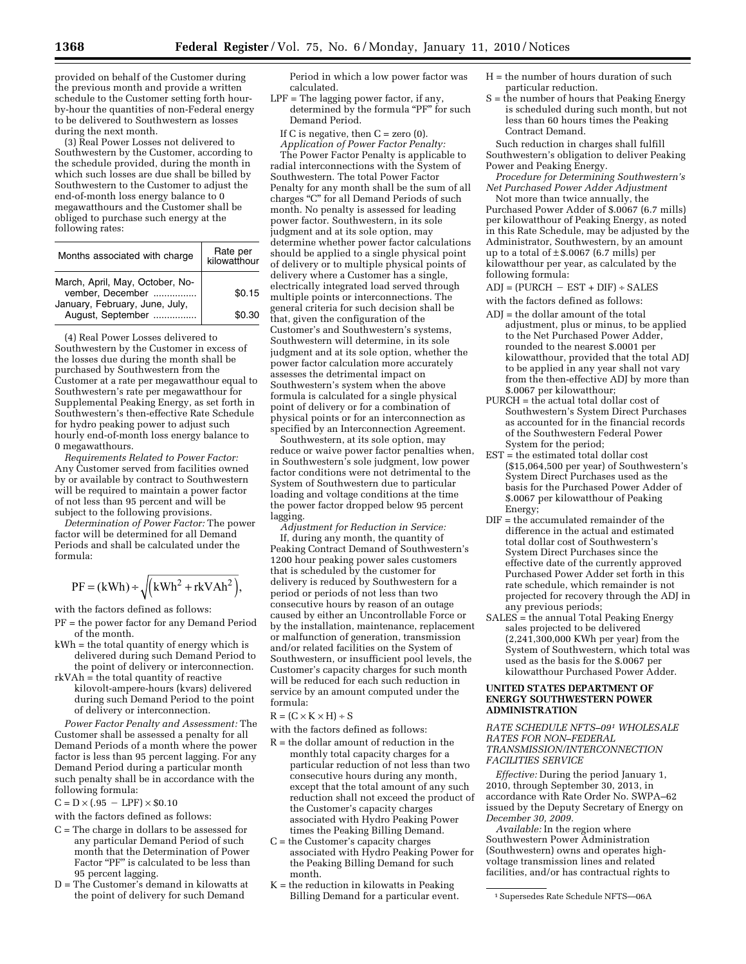provided on behalf of the Customer during the previous month and provide a written schedule to the Customer setting forth hourby-hour the quantities of non-Federal energy to be delivered to Southwestern as losses during the next month.

(3) Real Power Losses not delivered to Southwestern by the Customer, according to the schedule provided, during the month in which such losses are due shall be billed by Southwestern to the Customer to adjust the end-of-month loss energy balance to 0 megawatthours and the Customer shall be obliged to purchase such energy at the following rates:

| Months associated with charge                       | Rate per<br>kilowatthour |
|-----------------------------------------------------|--------------------------|
| March, April, May, October, No-<br>vember, December | \$0.15                   |
| January, February, June, July,<br>August, September | \$0.30                   |

(4) Real Power Losses delivered to Southwestern by the Customer in excess of the losses due during the month shall be purchased by Southwestern from the Customer at a rate per megawatthour equal to Southwestern's rate per megawatthour for Supplemental Peaking Energy, as set forth in Southwestern's then-effective Rate Schedule for hydro peaking power to adjust such hourly end-of-month loss energy balance to 0 megawatthours.

*Requirements Related to Power Factor:*  Any Customer served from facilities owned by or available by contract to Southwestern will be required to maintain a power factor of not less than 95 percent and will be subject to the following provisions.

*Determination of Power Factor:* The power factor will be determined for all Demand Periods and shall be calculated under the formula:

$$
PF = (kWh) \div \sqrt{(kWh^2 + rkVAh^2)},
$$

with the factors defined as follows:

- PF = the power factor for any Demand Period of the month.
- kWh = the total quantity of energy which is delivered during such Demand Period to
- the point of delivery or interconnection. rkVAh = the total quantity of reactive kilovolt-ampere-hours (kvars) delivered during such Demand Period to the point of delivery or interconnection.

*Power Factor Penalty and Assessment:* The Customer shall be assessed a penalty for all Demand Periods of a month where the power factor is less than 95 percent lagging. For any Demand Period during a particular month such penalty shall be in accordance with the following formula:

 $C = D \times (.95 - LPF) \times $0.10$ 

with the factors defined as follows:

- C = The charge in dollars to be assessed for any particular Demand Period of such month that the Determination of Power Factor "PF" is calculated to be less than 95 percent lagging.
- D = The Customer's demand in kilowatts at the point of delivery for such Demand

Period in which a low power factor was calculated.

LPF = The lagging power factor, if any, determined by the formula "PF" for such Demand Period.

If C is negative, then  $C = zero(0)$ . *Application of Power Factor Penalty:* 

The Power Factor Penalty is applicable to radial interconnections with the System of Southwestern. The total Power Factor Penalty for any month shall be the sum of all charges ''C'' for all Demand Periods of such month. No penalty is assessed for leading power factor. Southwestern, in its sole judgment and at its sole option, may determine whether power factor calculations should be applied to a single physical point of delivery or to multiple physical points of delivery where a Customer has a single, electrically integrated load served through multiple points or interconnections. The general criteria for such decision shall be that, given the configuration of the Customer's and Southwestern's systems, Southwestern will determine, in its sole judgment and at its sole option, whether the power factor calculation more accurately assesses the detrimental impact on Southwestern's system when the above formula is calculated for a single physical point of delivery or for a combination of physical points or for an interconnection as specified by an Interconnection Agreement.

Southwestern, at its sole option, may reduce or waive power factor penalties when, in Southwestern's sole judgment, low power factor conditions were not detrimental to the System of Southwestern due to particular loading and voltage conditions at the time the power factor dropped below 95 percent lagging.

*Adjustment for Reduction in Service:*  If, during any month, the quantity of Peaking Contract Demand of Southwestern's 1200 hour peaking power sales customers that is scheduled by the customer for delivery is reduced by Southwestern for a period or periods of not less than two consecutive hours by reason of an outage caused by either an Uncontrollable Force or by the installation, maintenance, replacement or malfunction of generation, transmission and/or related facilities on the System of Southwestern, or insufficient pool levels, the Customer's capacity charges for such month will be reduced for each such reduction in service by an amount computed under the formula:

 $R = (C \times K \times H) \div S$ 

- with the factors defined as follows:
- $R =$  the dollar amount of reduction in the monthly total capacity charges for a particular reduction of not less than two consecutive hours during any month, except that the total amount of any such reduction shall not exceed the product of the Customer's capacity charges associated with Hydro Peaking Power times the Peaking Billing Demand.
- C = the Customer's capacity charges associated with Hydro Peaking Power for the Peaking Billing Demand for such month.
- $K =$  the reduction in kilowatts in Peaking Billing Demand for a particular event.
- $H =$  the number of hours duration of such particular reduction.
- S = the number of hours that Peaking Energy is scheduled during such month, but not less than 60 hours times the Peaking Contract Demand.

Such reduction in charges shall fulfill Southwestern's obligation to deliver Peaking Power and Peaking Energy.

*Procedure for Determining Southwestern's Net Purchased Power Adder Adjustment* 

Not more than twice annually, the Purchased Power Adder of \$.0067 (6.7 mills) per kilowatthour of Peaking Energy, as noted in this Rate Schedule, may be adjusted by the Administrator, Southwestern, by an amount up to a total of  $\pm$  \$.0067 (6.7 mills) per kilowatthour per year, as calculated by the following formula:

 $ADJ = (PURCH - EST + DIF) ÷ SALES$ 

- with the factors defined as follows:
- ADJ = the dollar amount of the total adjustment, plus or minus, to be applied to the Net Purchased Power Adder, rounded to the nearest \$.0001 per kilowatthour, provided that the total ADJ to be applied in any year shall not vary from the then-effective ADJ by more than \$.0067 per kilowatthour;
- PURCH = the actual total dollar cost of Southwestern's System Direct Purchases as accounted for in the financial records of the Southwestern Federal Power System for the period;
- EST = the estimated total dollar cost (\$15,064,500 per year) of Southwestern's System Direct Purchases used as the basis for the Purchased Power Adder of \$.0067 per kilowatthour of Peaking Energy;
- DIF = the accumulated remainder of the difference in the actual and estimated total dollar cost of Southwestern's System Direct Purchases since the effective date of the currently approved Purchased Power Adder set forth in this rate schedule, which remainder is not projected for recovery through the ADJ in any previous periods;
- SALES = the annual Total Peaking Energy sales projected to be delivered (2,241,300,000 KWh per year) from the System of Southwestern, which total was used as the basis for the \$.0067 per kilowatthour Purchased Power Adder.

## **UNITED STATES DEPARTMENT OF ENERGY SOUTHWESTERN POWER ADMINISTRATION**

*RATE SCHEDULE NFTS–091 WHOLESALE RATES FOR NON–FEDERAL TRANSMISSION/INTERCONNECTION FACILITIES SERVICE* 

*Effective:* During the period January 1, 2010, through September 30, 2013, in accordance with Rate Order No. SWPA–62 issued by the Deputy Secretary of Energy on *December 30, 2009.* 

*Available:* In the region where Southwestern Power Administration (Southwestern) owns and operates highvoltage transmission lines and related facilities, and/or has contractual rights to

<sup>1</sup>Supersedes Rate Schedule NFTS—06A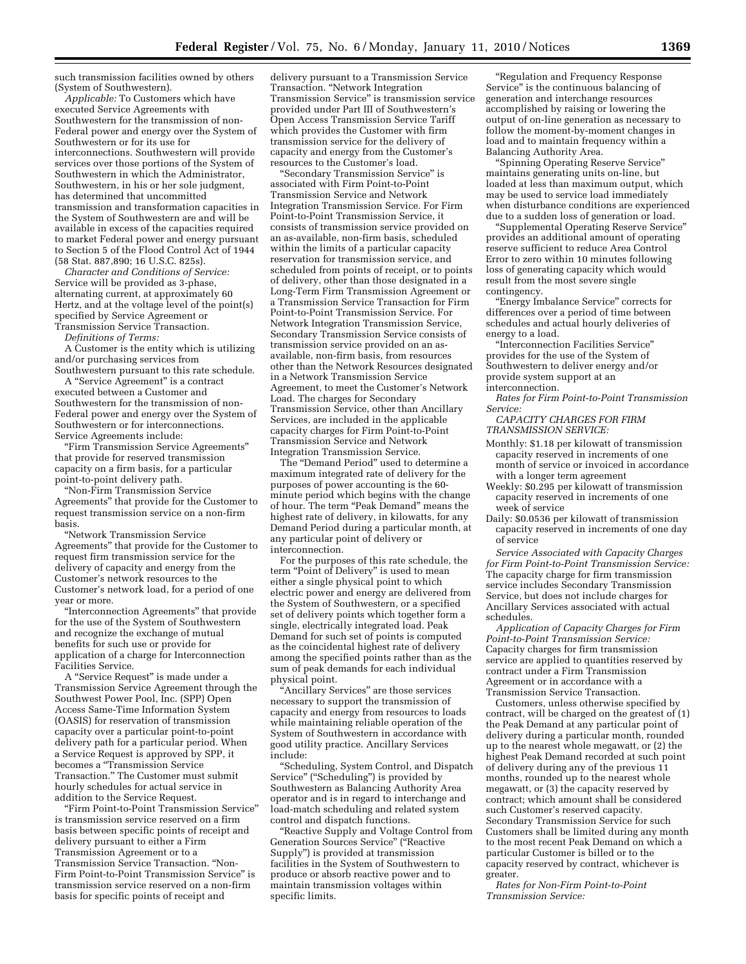such transmission facilities owned by others (System of Southwestern).

*Applicable:* To Customers which have executed Service Agreements with Southwestern for the transmission of non-Federal power and energy over the System of Southwestern or for its use for interconnections. Southwestern will provide services over those portions of the System of Southwestern in which the Administrator, Southwestern, in his or her sole judgment, has determined that uncommitted transmission and transformation capacities in the System of Southwestern are and will be available in excess of the capacities required to market Federal power and energy pursuant to Section 5 of the Flood Control Act of 1944 (58 Stat. 887,890; 16 U.S.C. 825s).

*Character and Conditions of Service:*  Service will be provided as 3-phase, alternating current, at approximately 60 Hertz, and at the voltage level of the point(s) specified by Service Agreement or Transmission Service Transaction.

*Definitions of Terms:* 

A Customer is the entity which is utilizing and/or purchasing services from Southwestern pursuant to this rate schedule.

A ''Service Agreement'' is a contract executed between a Customer and Southwestern for the transmission of non-Federal power and energy over the System of Southwestern or for interconnections. Service Agreements include:

''Firm Transmission Service Agreements'' that provide for reserved transmission capacity on a firm basis, for a particular point-to-point delivery path.

''Non-Firm Transmission Service Agreements'' that provide for the Customer to request transmission service on a non-firm basis.

''Network Transmission Service Agreements'' that provide for the Customer to request firm transmission service for the delivery of capacity and energy from the Customer's network resources to the Customer's network load, for a period of one year or more.

''Interconnection Agreements'' that provide for the use of the System of Southwestern and recognize the exchange of mutual benefits for such use or provide for application of a charge for Interconnection Facilities Service.

A ''Service Request'' is made under a Transmission Service Agreement through the Southwest Power Pool, Inc. (SPP) Open Access Same-Time Information System (OASIS) for reservation of transmission capacity over a particular point-to-point delivery path for a particular period. When a Service Request is approved by SPP, it becomes a ''Transmission Service Transaction.'' The Customer must submit hourly schedules for actual service in addition to the Service Request.

''Firm Point-to-Point Transmission Service'' is transmission service reserved on a firm basis between specific points of receipt and delivery pursuant to either a Firm Transmission Agreement or to a Transmission Service Transaction. ''Non-Firm Point-to-Point Transmission Service'' is transmission service reserved on a non-firm basis for specific points of receipt and

delivery pursuant to a Transmission Service Transaction. ''Network Integration Transmission Service'' is transmission service provided under Part III of Southwestern's Open Access Transmission Service Tariff which provides the Customer with firm transmission service for the delivery of capacity and energy from the Customer's resources to the Customer's load.

''Secondary Transmission Service'' is associated with Firm Point-to-Point Transmission Service and Network Integration Transmission Service. For Firm Point-to-Point Transmission Service, it consists of transmission service provided on an as-available, non-firm basis, scheduled within the limits of a particular capacity reservation for transmission service, and scheduled from points of receipt, or to points of delivery, other than those designated in a Long-Term Firm Transmission Agreement or a Transmission Service Transaction for Firm Point-to-Point Transmission Service. For Network Integration Transmission Service, Secondary Transmission Service consists of transmission service provided on an asavailable, non-firm basis, from resources other than the Network Resources designated in a Network Transmission Service Agreement, to meet the Customer's Network Load. The charges for Secondary Transmission Service, other than Ancillary Services, are included in the applicable capacity charges for Firm Point-to-Point Transmission Service and Network Integration Transmission Service.

The ''Demand Period'' used to determine a maximum integrated rate of delivery for the purposes of power accounting is the 60 minute period which begins with the change of hour. The term "Peak Demand" means the highest rate of delivery, in kilowatts, for any Demand Period during a particular month, at any particular point of delivery or interconnection.

For the purposes of this rate schedule, the term "Point of Delivery" is used to mean either a single physical point to which electric power and energy are delivered from the System of Southwestern, or a specified set of delivery points which together form a single, electrically integrated load. Peak Demand for such set of points is computed as the coincidental highest rate of delivery among the specified points rather than as the sum of peak demands for each individual physical point.

''Ancillary Services'' are those services necessary to support the transmission of capacity and energy from resources to loads while maintaining reliable operation of the System of Southwestern in accordance with good utility practice. Ancillary Services include:

''Scheduling, System Control, and Dispatch Service'' (''Scheduling'') is provided by Southwestern as Balancing Authority Area operator and is in regard to interchange and load-match scheduling and related system control and dispatch functions.

''Reactive Supply and Voltage Control from Generation Sources Service'' (''Reactive Supply'') is provided at transmission facilities in the System of Southwestern to produce or absorb reactive power and to maintain transmission voltages within specific limits.

''Regulation and Frequency Response Service'' is the continuous balancing of generation and interchange resources accomplished by raising or lowering the output of on-line generation as necessary to follow the moment-by-moment changes in load and to maintain frequency within a Balancing Authority Area.

''Spinning Operating Reserve Service'' maintains generating units on-line, but loaded at less than maximum output, which may be used to service load immediately when disturbance conditions are experienced due to a sudden loss of generation or load.

''Supplemental Operating Reserve Service'' provides an additional amount of operating reserve sufficient to reduce Area Control Error to zero within 10 minutes following loss of generating capacity which would result from the most severe single contingency.

''Energy Imbalance Service'' corrects for differences over a period of time between schedules and actual hourly deliveries of energy to a load.

''Interconnection Facilities Service'' provides for the use of the System of Southwestern to deliver energy and/or provide system support at an interconnection.

*Rates for Firm Point-to-Point Transmission Service:* 

*CAPACITY CHARGES FOR FIRM TRANSMISSION SERVICE:* 

- Monthly: \$1.18 per kilowatt of transmission capacity reserved in increments of one month of service or invoiced in accordance with a longer term agreement
- Weekly: \$0.295 per kilowatt of transmission capacity reserved in increments of one week of service
- Daily: \$0.0536 per kilowatt of transmission capacity reserved in increments of one day of service

*Service Associated with Capacity Charges for Firm Point-to-Point Transmission Service:*  The capacity charge for firm transmission service includes Secondary Transmission Service, but does not include charges for Ancillary Services associated with actual schedules.

*Application of Capacity Charges for Firm Point-to-Point Transmission Service:*  Capacity charges for firm transmission service are applied to quantities reserved by contract under a Firm Transmission Agreement or in accordance with a Transmission Service Transaction.

Customers, unless otherwise specified by contract, will be charged on the greatest of (1) the Peak Demand at any particular point of delivery during a particular month, rounded up to the nearest whole megawatt, or (2) the highest Peak Demand recorded at such point of delivery during any of the previous 11 months, rounded up to the nearest whole megawatt, or (3) the capacity reserved by contract; which amount shall be considered such Customer's reserved capacity. Secondary Transmission Service for such Customers shall be limited during any month to the most recent Peak Demand on which a particular Customer is billed or to the capacity reserved by contract, whichever is greater.

*Rates for Non-Firm Point-to-Point Transmission Service:*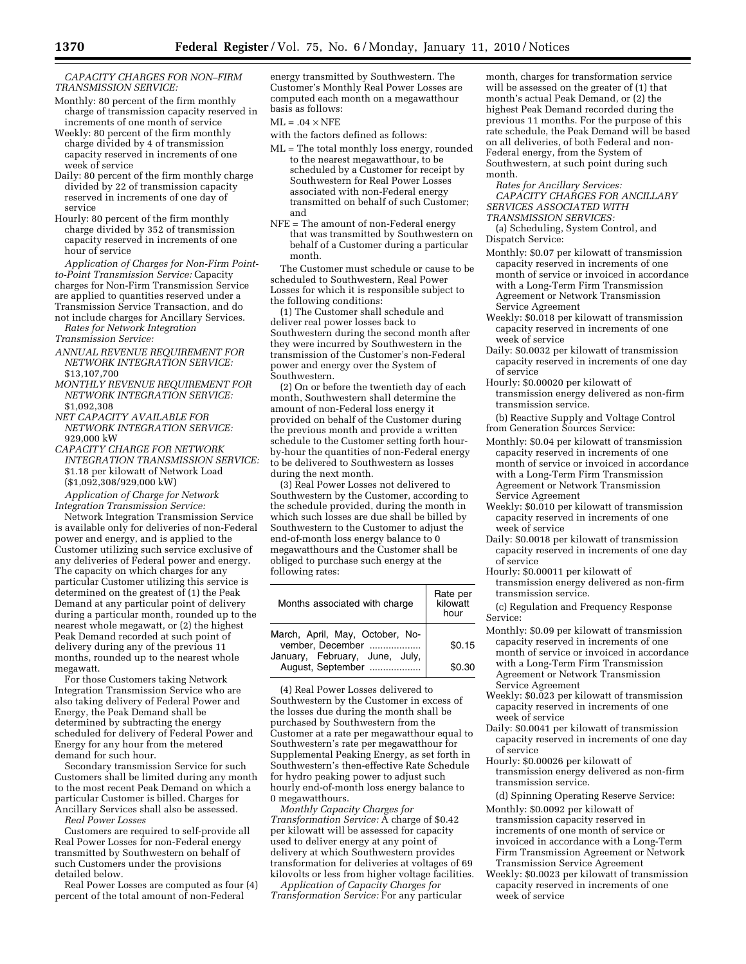*CAPACITY CHARGES FOR NON–FIRM TRANSMISSION SERVICE:* 

- Monthly: 80 percent of the firm monthly charge of transmission capacity reserved in increments of one month of service
- Weekly: 80 percent of the firm monthly charge divided by 4 of transmission capacity reserved in increments of one week of service
- Daily: 80 percent of the firm monthly charge divided by 22 of transmission capacity reserved in increments of one day of service
- Hourly: 80 percent of the firm monthly charge divided by 352 of transmission capacity reserved in increments of one hour of service

*Application of Charges for Non-Firm Pointto-Point Transmission Service:* Capacity charges for Non-Firm Transmission Service are applied to quantities reserved under a Transmission Service Transaction, and do not include charges for Ancillary Services. *Rates for Network Integration* 

*Transmission Service:* 

- *ANNUAL REVENUE REQUIREMENT FOR NETWORK INTEGRATION SERVICE:*  \$13,107,700
- *MONTHLY REVENUE REQUIREMENT FOR NETWORK INTEGRATION SERVICE:*  \$1,092,308
- *NET CAPACITY AVAILABLE FOR NETWORK INTEGRATION SERVICE:*  929,000 kW
- *CAPACITY CHARGE FOR NETWORK INTEGRATION TRANSMISSION SERVICE:*  \$1.18 per kilowatt of Network Load (\$1,092,308/929,000 kW)

*Application of Charge for Network Integration Transmission Service:* 

Network Integration Transmission Service is available only for deliveries of non-Federal power and energy, and is applied to the Customer utilizing such service exclusive of any deliveries of Federal power and energy. The capacity on which charges for any particular Customer utilizing this service is determined on the greatest of (1) the Peak Demand at any particular point of delivery during a particular month, rounded up to the nearest whole megawatt, or (2) the highest Peak Demand recorded at such point of delivery during any of the previous 11 months, rounded up to the nearest whole megawatt.

For those Customers taking Network Integration Transmission Service who are also taking delivery of Federal Power and Energy, the Peak Demand shall be determined by subtracting the energy scheduled for delivery of Federal Power and Energy for any hour from the metered demand for such hour.

Secondary transmission Service for such Customers shall be limited during any month to the most recent Peak Demand on which a particular Customer is billed. Charges for Ancillary Services shall also be assessed. *Real Power Losses* 

Customers are required to self-provide all Real Power Losses for non-Federal energy transmitted by Southwestern on behalf of such Customers under the provisions detailed below.

Real Power Losses are computed as four (4) percent of the total amount of non-Federal

energy transmitted by Southwestern. The Customer's Monthly Real Power Losses are computed each month on a megawatthour basis as follows:

 $ML = .04 \times NFE$ 

- with the factors defined as follows:
- ML = The total monthly loss energy, rounded to the nearest megawatthour, to be scheduled by a Customer for receipt by Southwestern for Real Power Losses associated with non-Federal energy transmitted on behalf of such Customer; and
- NFE = The amount of non-Federal energy that was transmitted by Southwestern on behalf of a Customer during a particular month.

The Customer must schedule or cause to be scheduled to Southwestern, Real Power Losses for which it is responsible subject to the following conditions:

(1) The Customer shall schedule and deliver real power losses back to Southwestern during the second month after they were incurred by Southwestern in the transmission of the Customer's non-Federal power and energy over the System of Southwestern.

(2) On or before the twentieth day of each month, Southwestern shall determine the amount of non-Federal loss energy it provided on behalf of the Customer during the previous month and provide a written schedule to the Customer setting forth hourby-hour the quantities of non-Federal energy to be delivered to Southwestern as losses during the next month.

(3) Real Power Losses not delivered to Southwestern by the Customer, according to the schedule provided, during the month in which such losses are due shall be billed by Southwestern to the Customer to adjust the end-of-month loss energy balance to 0 megawatthours and the Customer shall be obliged to purchase such energy at the following rates:

| Months associated with charge                       | Rate per<br>kilowatt<br>hour |
|-----------------------------------------------------|------------------------------|
| March, April, May, October, No-<br>vember, December | \$0.15                       |
| January, February, June, July,<br>August, September | \$0.30                       |

(4) Real Power Losses delivered to Southwestern by the Customer in excess of the losses due during the month shall be purchased by Southwestern from the Customer at a rate per megawatthour equal to Southwestern's rate per megawatthour for Supplemental Peaking Energy, as set forth in Southwestern's then-effective Rate Schedule for hydro peaking power to adjust such hourly end-of-month loss energy balance to 0 megawatthours.

*Monthly Capacity Charges for Transformation Service:* A charge of \$0.42 per kilowatt will be assessed for capacity used to deliver energy at any point of delivery at which Southwestern provides transformation for deliveries at voltages of 69 kilovolts or less from higher voltage facilities.

*Application of Capacity Charges for Transformation Service:* For any particular

month, charges for transformation service will be assessed on the greater of (1) that month's actual Peak Demand, or (2) the highest Peak Demand recorded during the previous 11 months. For the purpose of this rate schedule, the Peak Demand will be based on all deliveries, of both Federal and non-Federal energy, from the System of Southwestern, at such point during such month.

*Rates for Ancillary Services: CAPACITY CHARGES FOR ANCILLARY SERVICES ASSOCIATED WITH TRANSMISSION SERVICES:* 

(a) Scheduling, System Control, and Dispatch Service:

- Monthly: \$0.07 per kilowatt of transmission capacity reserved in increments of one month of service or invoiced in accordance with a Long-Term Firm Transmission Agreement or Network Transmission Service Agreement
- Weekly: \$0.018 per kilowatt of transmission capacity reserved in increments of one week of service
- Daily: \$0.0032 per kilowatt of transmission capacity reserved in increments of one day of service
- Hourly: \$0.00020 per kilowatt of transmission energy delivered as non-firm transmission service.

(b) Reactive Supply and Voltage Control from Generation Sources Service:

- Monthly: \$0.04 per kilowatt of transmission capacity reserved in increments of one month of service or invoiced in accordance with a Long-Term Firm Transmission Agreement or Network Transmission Service Agreement
- Weekly: \$0.010 per kilowatt of transmission capacity reserved in increments of one week of service
- Daily: \$0.0018 per kilowatt of transmission capacity reserved in increments of one day of service
- Hourly: \$0.00011 per kilowatt of transmission energy delivered as non-firm transmission service.
- (c) Regulation and Frequency Response Service:
- Monthly: \$0.09 per kilowatt of transmission capacity reserved in increments of one month of service or invoiced in accordance with a Long-Term Firm Transmission Agreement or Network Transmission Service Agreement
- Weekly: \$0.023 per kilowatt of transmission capacity reserved in increments of one week of service
- Daily: \$0.0041 per kilowatt of transmission capacity reserved in increments of one day of service
- Hourly: \$0.00026 per kilowatt of transmission energy delivered as non-firm transmission service.
	- (d) Spinning Operating Reserve Service:
- Monthly: \$0.0092 per kilowatt of transmission capacity reserved in increments of one month of service or invoiced in accordance with a Long-Term Firm Transmission Agreement or Network Transmission Service Agreement
- Weekly: \$0.0023 per kilowatt of transmission capacity reserved in increments of one week of service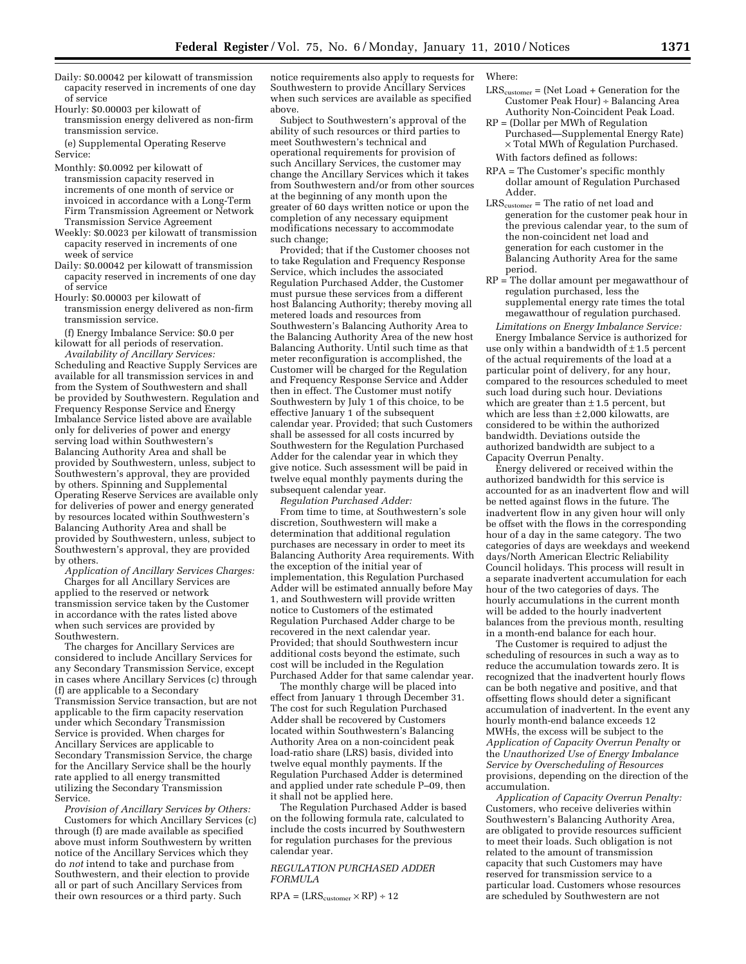- Daily: \$0.00042 per kilowatt of transmission capacity reserved in increments of one day of service
- Hourly: \$0.00003 per kilowatt of transmission energy delivered as non-firm transmission service.

(e) Supplemental Operating Reserve Service:

- Monthly: \$0.0092 per kilowatt of transmission capacity reserved in increments of one month of service or invoiced in accordance with a Long-Term Firm Transmission Agreement or Network Transmission Service Agreement
- Weekly: \$0.0023 per kilowatt of transmission capacity reserved in increments of one week of service
- Daily: \$0.00042 per kilowatt of transmission capacity reserved in increments of one day of service
- Hourly: \$0.00003 per kilowatt of transmission energy delivered as non-firm transmission service.

(f) Energy Imbalance Service: \$0.0 per kilowatt for all periods of reservation.

*Availability of Ancillary Services:*  Scheduling and Reactive Supply Services are available for all transmission services in and from the System of Southwestern and shall be provided by Southwestern. Regulation and Frequency Response Service and Energy Imbalance Service listed above are available only for deliveries of power and energy serving load within Southwestern's Balancing Authority Area and shall be provided by Southwestern, unless, subject to Southwestern's approval, they are provided by others. Spinning and Supplemental Operating Reserve Services are available only for deliveries of power and energy generated by resources located within Southwestern's Balancing Authority Area and shall be provided by Southwestern, unless, subject to Southwestern's approval, they are provided by others.

*Application of Ancillary Services Charges:*  Charges for all Ancillary Services are applied to the reserved or network transmission service taken by the Customer in accordance with the rates listed above when such services are provided by Southwestern.

The charges for Ancillary Services are considered to include Ancillary Services for any Secondary Transmission Service, except in cases where Ancillary Services (c) through (f) are applicable to a Secondary Transmission Service transaction, but are not applicable to the firm capacity reservation under which Secondary Transmission Service is provided. When charges for Ancillary Services are applicable to Secondary Transmission Service, the charge for the Ancillary Service shall be the hourly rate applied to all energy transmitted utilizing the Secondary Transmission Service.

*Provision of Ancillary Services by Others:*  Customers for which Ancillary Services (c) through (f) are made available as specified above must inform Southwestern by written notice of the Ancillary Services which they do *not* intend to take and purchase from Southwestern, and their election to provide all or part of such Ancillary Services from their own resources or a third party. Such

notice requirements also apply to requests for Southwestern to provide Ancillary Services when such services are available as specified above.

Subject to Southwestern's approval of the ability of such resources or third parties to meet Southwestern's technical and operational requirements for provision of such Ancillary Services, the customer may change the Ancillary Services which it takes from Southwestern and/or from other sources at the beginning of any month upon the greater of 60 days written notice or upon the completion of any necessary equipment modifications necessary to accommodate such change;

Provided; that if the Customer chooses not to take Regulation and Frequency Response Service, which includes the associated Regulation Purchased Adder, the Customer must pursue these services from a different host Balancing Authority; thereby moving all metered loads and resources from Southwestern's Balancing Authority Area to the Balancing Authority Area of the new host Balancing Authority. Until such time as that meter reconfiguration is accomplished, the Customer will be charged for the Regulation and Frequency Response Service and Adder then in effect. The Customer must notify Southwestern by July 1 of this choice, to be effective January 1 of the subsequent calendar year. Provided; that such Customers shall be assessed for all costs incurred by Southwestern for the Regulation Purchased Adder for the calendar year in which they give notice. Such assessment will be paid in twelve equal monthly payments during the subsequent calendar year.

*Regulation Purchased Adder:* 

From time to time, at Southwestern's sole discretion, Southwestern will make a determination that additional regulation purchases are necessary in order to meet its Balancing Authority Area requirements. With the exception of the initial year of implementation, this Regulation Purchased Adder will be estimated annually before May 1, and Southwestern will provide written notice to Customers of the estimated Regulation Purchased Adder charge to be recovered in the next calendar year. Provided; that should Southwestern incur additional costs beyond the estimate, such cost will be included in the Regulation Purchased Adder for that same calendar year.

The monthly charge will be placed into effect from January 1 through December 31. The cost for such Regulation Purchased Adder shall be recovered by Customers located within Southwestern's Balancing Authority Area on a non-coincident peak load-ratio share (LRS) basis, divided into twelve equal monthly payments. If the Regulation Purchased Adder is determined and applied under rate schedule P–09, then it shall not be applied here.

The Regulation Purchased Adder is based on the following formula rate, calculated to include the costs incurred by Southwestern for regulation purchases for the previous calendar year.

## *REGULATION PURCHASED ADDER FORMULA*

 $RPA = (LRS_{\text{customer}} \times RP) \div 12$ 

## Where:

- $LRS_{\text{customer}} = (\text{Net Load} + \text{Generation for the})$ Customer Peak Hour) ÷ Balancing Area Authority Non-Coincident Peak Load.
- RP = (Dollar per MWh of Regulation Purchased—Supplemental Energy Rate) × Total MWh of Regulation Purchased. With factors defined as follows:
- RPA = The Customer's specific monthly dollar amount of Regulation Purchased Adder.
- $\mathrm{LRS}_{\mathrm{customer}} = \mathrm{The\ ratio\ of\ net\ load\ and}$ generation for the customer peak hour in the previous calendar year, to the sum of the non-coincident net load and generation for each customer in the Balancing Authority Area for the same period.
- RP = The dollar amount per megawatthour of regulation purchased, less the supplemental energy rate times the total megawatthour of regulation purchased.

*Limitations on Energy Imbalance Service:*  Energy Imbalance Service is authorized for use only within a bandwidth of  $\pm 1.5$  percent of the actual requirements of the load at a particular point of delivery, for any hour, compared to the resources scheduled to meet such load during such hour. Deviations which are greater than  $\pm 1.5$  percent, but which are less than  $\pm 2,000$  kilowatts, are considered to be within the authorized bandwidth. Deviations outside the authorized bandwidth are subject to a Capacity Overrun Penalty.

Energy delivered or received within the authorized bandwidth for this service is accounted for as an inadvertent flow and will be netted against flows in the future. The inadvertent flow in any given hour will only be offset with the flows in the corresponding hour of a day in the same category. The two categories of days are weekdays and weekend days/North American Electric Reliability Council holidays. This process will result in a separate inadvertent accumulation for each hour of the two categories of days. The hourly accumulations in the current month will be added to the hourly inadvertent balances from the previous month, resulting in a month-end balance for each hour.

The Customer is required to adjust the scheduling of resources in such a way as to reduce the accumulation towards zero. It is recognized that the inadvertent hourly flows can be both negative and positive, and that offsetting flows should deter a significant accumulation of inadvertent. In the event any hourly month-end balance exceeds 12 MWHs, the excess will be subject to the *Application of Capacity Overrun Penalty* or the *Unauthorized Use of Energy Imbalance Service by Overscheduling of Resources*  provisions, depending on the direction of the accumulation.

*Application of Capacity Overrun Penalty:*  Customers, who receive deliveries within Southwestern's Balancing Authority Area, are obligated to provide resources sufficient to meet their loads. Such obligation is not related to the amount of transmission capacity that such Customers may have reserved for transmission service to a particular load. Customers whose resources are scheduled by Southwestern are not